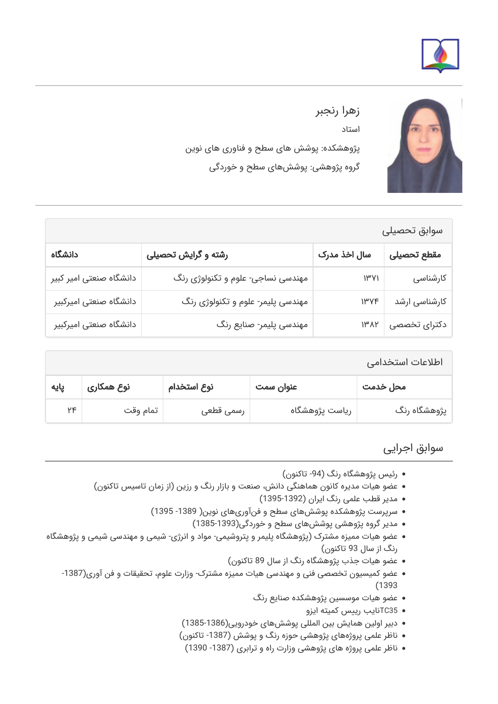



## زهرا رنجبر

استاد پژوهشکده: پوشش های سطح و فناوری های نوین گروه پژوهشی: پوششهای سطح و خوردگی

| سوابق تحصيلى            |                                   |                           |                     |  |
|-------------------------|-----------------------------------|---------------------------|---------------------|--|
| دانشگاه                 | رشته و گرایش تحصیلی               | <mark>سال اخذ مدرک</mark> | مقطع تحصيلى         |  |
| دانشگاه صنعتی امیر کبیر | مهندسی نساجی- علوم و تکنولوژی رنگ | WY                        | کارشناسی            |  |
| دانشگاه صنعتی امیرکبیر  | مهندسی پلیمر- علوم و تکنولوژی رنگ | $1\mu\gamma\gamma$        | ِ کارشناسی ارشد     |  |
| دانشگاه صنعتی امیرکبیر  | مهندسی پلیمر- صنایع رنگ           |                           | دکترای تخصصی   ۱۳۸۲ |  |

| اطلاعات استخدامى |            |             |                |              |  |
|------------------|------------|-------------|----------------|--------------|--|
| پایه             | نوع همکاری | نوع استخدام | عنوان سمت      | محل خدمت     |  |
| $\gamma$         | تمام وقت   | رسمى قطعى   | ریاست پژوهشگاه | پژوهشگاه رنگ |  |

سوابق اجرایی

- رئیس پژوهشگاه رنگ (-94 تاکنون)
- عضو هیات مدیره کانون هماهنگی دانش، صنعت و بازار رنگ و رزین (از زمان تاسیس تاکنون)
	- مدیر قطب علمی رنگ ایران (1395-1392)
	- سرپرست پژوهشکده پوششهای سطح و فنآوریهای نوین( -1389 1395)
		- مدیر گروه پژوهشی پوششهای سطح و خوردگی(1385-1393)
- عضو هیات ممیزه مشترک (پژوهشگاه پلیمر و پتروشیمی- مواد و انرژی- شیمی و مهندسی شیمی و پژوهشگاه رنگ از سال 93 تاکنون)
	- عضو هیات جذب پژوهشگاه رنگ از سال 89 تاکنون)
	- عضو کمیسیون تخصصی فنی و مهندسی هیات ممیزه مشترک- وزارت علوم، تحقیقات و فن آوری(-1387 (1393
		- عضو هیات موسسین پژوهشکده صنایع رنگ
			- 35TCنایب رس کمیته ایزو
		- دبیر اولین همایش بین المللی پوششهای خودرویی(1385-1386)
		- ناظر علمی پروژههای پژوهشی حوزه رنگ و پوشش (-1387 تاکنون)
			- ناظر علمی پروژه های پژوهشی وزارت راه و ترابری (-1387 1390)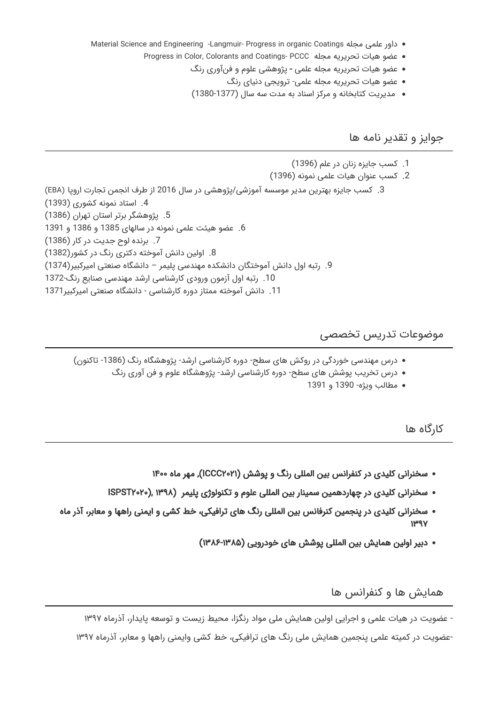- Material Science and Engineering -Langmuir- Progress in organic Coatings مجله علمی داور
	- Progress in Color, Colorants and Coatings- PCCC مجله تحریریه هیات عضو
		- عضو هیات تحریریه مجله علمی پژوهشی علوم و فنآوری رنگ
			- عضو هیات تحریریه مجله علمی- ترویجی دنیای رنگ
			- مدیریت کتابخانه و مرکز اسناد به مدت سه سال (1380-1377)

جوایز و تقدیر نامه ها

.1 کسب جایزه زنان در علم (1396) .2 کسب عنوان هیات علمی نمونه (1396) .3 کسب جایزه بهترین مدیر موسسه آموزشی/پژوهشی در سال 2016 از طرف انجمن تجارت اروپا (EBA( .4 استاد نمونه کشوری (1393) .5 پژوهشگر برتر استان تهران (1386) .6 عضو هیئت علمی نمونه در سالهای 1385 و 1386 و 1391 .7 برنده لوح جدیت در کار (1386) .8 اولین دانش آموخته دکتری رنگ در کشور(1382) .9 رتبه اول دانش آموختگان دانشکده مهندسی پلیمر – دانشگاه صنعتی امیرکبیر(1374) .10 رتبه اول آزمون ورودی کارشناسی ارشد مهندسی صنایع رنگ1372- .11 دانش آموخته ممتاز دوره کارشناسی - دانشگاه صنعتی امیرکبیر1371

موضوعات تدریس تخصصی

- درس مهندسی خوردگی در روکش های سطح- دوره کارشناسی ارشد- پژوهشگاه رنگ (-1386 تاکنون)
	- درس تخریب پوشش های سطح- دوره کارشناسی ارشد- پژوهشگاه علوم و فن آوری رنگ
		- مطالب ویژه- 1390 و 1391

کارگاه ها

- سخنرانی کلیدی در کنفرانس بین المللی رنگ و پوشش (۲۰۲۱ICCC(, مهر ماه ۱۴۰۰
- سخنرانی کلیدی در چهاردهمین سمینار بین المللی علوم و تکنولوژی پلیمر (۱۳۹۸ ,(۲۰۲۰ISPST
- سخنرانی کلیدی در پنجمین کنرفانس بین المللی رنگ های ترافیکی، خط کشی و ایمنی راهها و معابر، آذر ماه ۱۳۹۷
	- دبیر اولین همایش بین المللی پوشش های خودرویی (۱۳۸۶-۱۳۸۵)

همایش ها و کنفرانس ها

- عضویت در هیات علمی و اجرایی اولین همایش ملی مواد رنگزا، محیط زیست و توسعه پایدار، آذرماه ۱۳۹۷

-عضویت در کمیته علمی پنجمین همایش ملی رنگ های ترافیکی، خط کشی وایمنی راهها و معابر، آذرماه ۱۳۹۷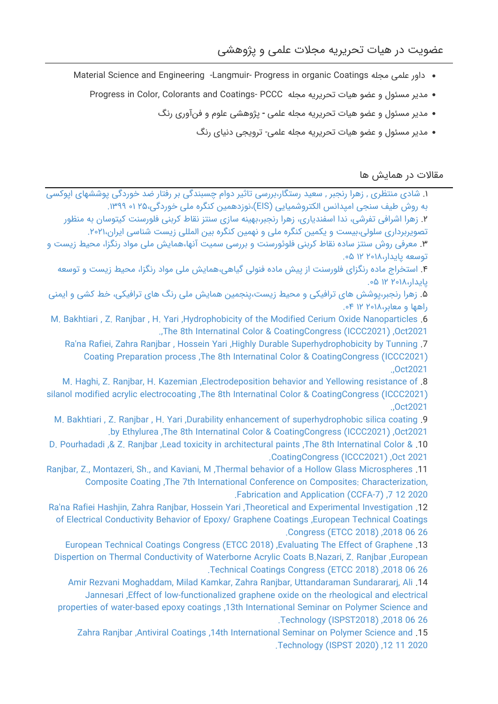## عضویت در هیات تحریریه مجلات علمی و پژوهشی

- Material Science and Engineering -Langmuir- Progress in organic Coatings مجله علمی داور
	- مدیر مسئول و عضو هیات تحریریه مجله PCCC -Coatings and Colorants ,Color in Progress
		- مدیر مسئول و عضو هیات تحریریه مجله علمی پژوهشی علوم و فنآوری رنگ
			- مدیر مسئول و عضو هیات تحریریه مجله علمی- ترویجی دنیای رنگ

مقالات در همایش ها

.۱ [شادی منتظری , زهرا رنجبر , سعید رستگار،بررسی تاثیر دوام چسبندگی بر رفتار ضد خوردگی پوششهای اپوکسی](https://faculty.icrc.ac.ir/zahra-ranjbar/fa/articlesInConferences/103/%D8%A8%D8%B1%D8%B1%D8%B3%DB%8C-%D8%AA%D8%A7%D8%AB%DB%8C%D8%B1-%D8%AF%D9%88%D8%A7%D9%85-%DA%86%D8%B3%D8%A8%D9%86%D8%AF%DA%AF%DB%8C-%D8%A8%D8%B1-%D8%B1%D9%81%D8%AA%D8%A7%D8%B1-%D8%B6%D8%AF-%D8%AE%D9%88%D8%B1%D8%AF%DA%AF%DB%8C-%D9%BE%D9%88%D8%B4%D8%B4%D9%87%D8%A7%DB%8C-%D8%A7%D9%BE%D9%88%DA%A9%D8%B3%DB%8C-%D8%A8%D9%87-%D8%B1%D9%88%D8%B4-%D8%B7%DB%8C%D9%81-%D8%B3%D9%86%D8%AC%DB%8C-%D8%A7%D9%85%D9%BE%D8%AF%D8%A7%D9%86%D8%B3-%D8%A7%D9%84%DA%A9%D8%AA%D8%B1%D9%88%D8%B4%D9%85%DB%8C%D8%A7%DB%8C%DB%8C-eis-) [به روش طیف سنجی امپدانس الکتروشمیایی \(EIS\(،نوزدهمین کنگره ملی خوردگی۲۵، ۰۱ .۱۳۹۹](https://faculty.icrc.ac.ir/zahra-ranjbar/fa/articlesInConferences/103/%D8%A8%D8%B1%D8%B1%D8%B3%DB%8C-%D8%AA%D8%A7%D8%AB%DB%8C%D8%B1-%D8%AF%D9%88%D8%A7%D9%85-%DA%86%D8%B3%D8%A8%D9%86%D8%AF%DA%AF%DB%8C-%D8%A8%D8%B1-%D8%B1%D9%81%D8%AA%D8%A7%D8%B1-%D8%B6%D8%AF-%D8%AE%D9%88%D8%B1%D8%AF%DA%AF%DB%8C-%D9%BE%D9%88%D8%B4%D8%B4%D9%87%D8%A7%DB%8C-%D8%A7%D9%BE%D9%88%DA%A9%D8%B3%DB%8C-%D8%A8%D9%87-%D8%B1%D9%88%D8%B4-%D8%B7%DB%8C%D9%81-%D8%B3%D9%86%D8%AC%DB%8C-%D8%A7%D9%85%D9%BE%D8%AF%D8%A7%D9%86%D8%B3-%D8%A7%D9%84%DA%A9%D8%AA%D8%B1%D9%88%D8%B4%D9%85%DB%8C%D8%A7%DB%8C%DB%8C-eis-)

.۲ [زهرا اشرافی تفرشی، ندا اسفندیاری، زهرا رنجبر،بهینه سازی سنتز نقاط کربنی فلورسنت کیتوسان به منظور](https://faculty.icrc.ac.ir/zahra-ranjbar/fa/articlesInConferences/105/%D8%A8%D9%87%DB%8C%D9%86%D9%87-%D8%B3%D8%A7%D8%B2%DB%8C-%D8%B3%D9%86%D8%AA%D8%B2-%D9%86%D9%82%D8%A7%D8%B7-%DA%A9%D8%B1%D8%A8%D9%86%DB%8C-%D9%81%D9%84%D9%88%D8%B1%D8%B3%D9%86%D8%AA-%DA%A9%DB%8C%D8%AA%D9%88%D8%B3%D8%A7%D9%86-%D8%A8%D9%87-%D9%85%D9%86%D8%B8%D9%88%D8%B1-%D8%AA%D8%B5%D9%88%DB%8C%D8%B1%D8%A8%D8%B1%D8%AF%D8%A7%D8%B1%DB%8C-%D8%B3%D9%84%D9%88%D9%84%DB%8C) [تصویربرداری سلولی،بیست و یکمین کنگره ملی و نهمین کنگره بین المللی زیست شناسی ایران.۲۰۲۱،](https://faculty.icrc.ac.ir/zahra-ranjbar/fa/articlesInConferences/105/%D8%A8%D9%87%DB%8C%D9%86%D9%87-%D8%B3%D8%A7%D8%B2%DB%8C-%D8%B3%D9%86%D8%AA%D8%B2-%D9%86%D9%82%D8%A7%D8%B7-%DA%A9%D8%B1%D8%A8%D9%86%DB%8C-%D9%81%D9%84%D9%88%D8%B1%D8%B3%D9%86%D8%AA-%DA%A9%DB%8C%D8%AA%D9%88%D8%B3%D8%A7%D9%86-%D8%A8%D9%87-%D9%85%D9%86%D8%B8%D9%88%D8%B1-%D8%AA%D8%B5%D9%88%DB%8C%D8%B1%D8%A8%D8%B1%D8%AF%D8%A7%D8%B1%DB%8C-%D8%B3%D9%84%D9%88%D9%84%DB%8C)

.۳ [معرفی روش سنتز ساده نقاط کربنی فلوئورسنت و بررسی سمیت آنها،همایش ملی مواد رنگزا، محیط زیست و](https://faculty.icrc.ac.ir/zahra-ranjbar/fa/articlesInConferences/39/%D9%85%D8%B9%D8%B1%D9%81%DB%8C-%D8%B1%D9%88%D8%B4-%D8%B3%D9%86%D8%AA%D8%B2-%D8%B3%D8%A7%D8%AF%D9%87-%D9%86%D9%82%D8%A7%D8%B7-%DA%A9%D8%B1%D8%A8%D9%86%DB%8C-%D9%81%D9%84%D9%88%D8%A6%D9%88%D8%B1%D8%B3%D9%86%D8%AA-%D9%88-%D8%A8%D8%B1%D8%B1%D8%B3%DB%8C-%D8%B3%D9%85%DB%8C%D8%AA-%D8%A2%D9%86%D9%87%D8%A7) [توسعه پایدار۲۰۱۸، ۱۲ .۰۵](https://faculty.icrc.ac.ir/zahra-ranjbar/fa/articlesInConferences/39/%D9%85%D8%B9%D8%B1%D9%81%DB%8C-%D8%B1%D9%88%D8%B4-%D8%B3%D9%86%D8%AA%D8%B2-%D8%B3%D8%A7%D8%AF%D9%87-%D9%86%D9%82%D8%A7%D8%B7-%DA%A9%D8%B1%D8%A8%D9%86%DB%8C-%D9%81%D9%84%D9%88%D8%A6%D9%88%D8%B1%D8%B3%D9%86%D8%AA-%D9%88-%D8%A8%D8%B1%D8%B1%D8%B3%DB%8C-%D8%B3%D9%85%DB%8C%D8%AA-%D8%A2%D9%86%D9%87%D8%A7)

.۴ [استخراج ماده رنگزای فلورسنت از پیش ماده فنولی گیاهی،همایش ملی مواد رنگزا، محیط زیست و توسعه](https://faculty.icrc.ac.ir/zahra-ranjbar/fa/articlesInConferences/40/%D8%A7%D8%B3%D8%AA%D8%AE%D8%B1%D8%A7%D8%AC-%D9%85%D8%A7%D8%AF%D9%87-%D8%B1%D9%86%DA%AF%D8%B2%D8%A7%DB%8C-%D9%81%D9%84%D9%88%D8%B1%D8%B3%D9%86%D8%AA-%D8%A7%D8%B2-%D9%BE%DB%8C%D8%B4-%D9%85%D8%A7%D8%AF%D9%87-%D9%81%D9%86%D9%88%D9%84%DB%8C-%DA%AF%DB%8C%D8%A7%D9%87%DB%8C) پایدار، ۲۰۱۸ تا ۵۰.

.۵ [زهرا رنجبر،پوشش های ترافیکی و محیط زیست،پنجمین همایش ملی رنگ های ترافیکی، خط کشی و ایمنی](https://faculty.icrc.ac.ir/zahra-ranjbar/fa/articlesInConferences/38/%D9%BE%D9%88%D8%B4%D8%B4-%D9%87%D8%A7%DB%8C-%D8%AA%D8%B1%D8%A7%D9%81%DB%8C%DA%A9%DB%8C-%D9%88-%D9%85%D8%AD%DB%8C%D8%B7-%D8%B2%DB%8C%D8%B3%D8%AA) [راهها و معابر۲۰۱۸، ۱۲ .۰۴](https://faculty.icrc.ac.ir/zahra-ranjbar/fa/articlesInConferences/38/%D9%BE%D9%88%D8%B4%D8%B4-%D9%87%D8%A7%DB%8C-%D8%AA%D8%B1%D8%A7%D9%81%DB%8C%DA%A9%DB%8C-%D9%88-%D9%85%D8%AD%DB%8C%D8%B7-%D8%B2%DB%8C%D8%B3%D8%AA)

[M. Bakhtiari , Z. Ranjbar , H. Yari ,Hydrophobicity of the Modified Cerium Oxide Nanoparticles](https://faculty.icrc.ac.ir/zahra-ranjbar/fa/articlesInConferences/119/hydrophobicity-of-the-modified-cerium-oxide-nanoparticles) .6 [.,The 8th Internatinal Color & CoatingCongress \(ICCC2021\) ,Oct2021](https://faculty.icrc.ac.ir/zahra-ranjbar/fa/articlesInConferences/119/hydrophobicity-of-the-modified-cerium-oxide-nanoparticles)

[Ra'na Rafiei, Zahra Ranjbar , Hossein Yari ,Highly Durable Superhydrophobicity by Tunning](https://faculty.icrc.ac.ir/zahra-ranjbar/fa/articlesInConferences/120/highly-durable-superhydrophobicity-by-tunning-coating-preparation-process) .7 [Coating Preparation process ,The 8th Internatinal Color & CoatingCongress \(ICCC2021\)](https://faculty.icrc.ac.ir/zahra-ranjbar/fa/articlesInConferences/120/highly-durable-superhydrophobicity-by-tunning-coating-preparation-process) [.,Oct2021](https://faculty.icrc.ac.ir/zahra-ranjbar/fa/articlesInConferences/120/highly-durable-superhydrophobicity-by-tunning-coating-preparation-process)

[M. Haghi, Z. Ranjbar, H. Kazemian ,Electrodeposition behavior and Yellowing resistance of](https://faculty.icrc.ac.ir/zahra-ranjbar/fa/articlesInConferences/121/electrodeposition-behavior-and-yellowing-resistance-of-silanol-modified-acrylic-electrocoating) .8 [silanol modified acrylic electrocoating ,The 8th Internatinal Color & CoatingCongress \(ICCC2021\)](https://faculty.icrc.ac.ir/zahra-ranjbar/fa/articlesInConferences/121/electrodeposition-behavior-and-yellowing-resistance-of-silanol-modified-acrylic-electrocoating) [.,Oct2021](https://faculty.icrc.ac.ir/zahra-ranjbar/fa/articlesInConferences/121/electrodeposition-behavior-and-yellowing-resistance-of-silanol-modified-acrylic-electrocoating)

[M. Bakhtiari , Z. Ranjbar , H. Yari ,Durability enhancement of superhydrophobic silica coating](https://faculty.icrc.ac.ir/zahra-ranjbar/fa/articlesInConferences/122/durability-enhancement-of-superhydrophobic-silica-coating-by-ethylurea) .9 [.by Ethylurea ,The 8th Internatinal Color & CoatingCongress \(ICCC2021\) ,Oct2021](https://faculty.icrc.ac.ir/zahra-ranjbar/fa/articlesInConferences/122/durability-enhancement-of-superhydrophobic-silica-coating-by-ethylurea)

[D. Pourhadadi ,& Z. Ranjbar ,Lead toxicity in architectural paints ,The 8th Internatinal Color &](https://faculty.icrc.ac.ir/zahra-ranjbar/fa/articlesInConferences/118/lead-toxicity-in-architectural-paints) .10 [.CoatingCongress \(ICCC2021\) ,Oct 2021](https://faculty.icrc.ac.ir/zahra-ranjbar/fa/articlesInConferences/118/lead-toxicity-in-architectural-paints)

[Ranjbar, Z., Montazeri, Sh., and Kaviani, M ,Thermal behavior of a Hollow Glass Microspheres](https://faculty.icrc.ac.ir/zahra-ranjbar/fa/articlesInConferences/107/thermal-behavior-of-a-hollow-glass-microspheres-composite-coating) .11 [Composite Coating ,The 7th International Conference on Composites: Characterization,](https://faculty.icrc.ac.ir/zahra-ranjbar/fa/articlesInConferences/107/thermal-behavior-of-a-hollow-glass-microspheres-composite-coating) [.Fabrication and Application \(CCFA-7\) ,7 12 2020](https://faculty.icrc.ac.ir/zahra-ranjbar/fa/articlesInConferences/107/thermal-behavior-of-a-hollow-glass-microspheres-composite-coating)

[Ra'na Rafiei Hashjin, Zahra Ranjbar, Hossein Yari ,Theoretical and Experimental Investigation](https://faculty.icrc.ac.ir/zahra-ranjbar/fa/articlesInConferences/35/theoretical-and-experimental-investigation-of-electrical-conductivity-behavior-of-epoxy-graphene-coatings) .12 [of Electrical Conductivity Behavior of Epoxy/ Graphene Coatings ,European Technical Coatings](https://faculty.icrc.ac.ir/zahra-ranjbar/fa/articlesInConferences/35/theoretical-and-experimental-investigation-of-electrical-conductivity-behavior-of-epoxy-graphene-coatings) [.Congress \(ETCC 2018\) ,2018 06 26](https://faculty.icrc.ac.ir/zahra-ranjbar/fa/articlesInConferences/35/theoretical-and-experimental-investigation-of-electrical-conductivity-behavior-of-epoxy-graphene-coatings)

[European Technical Coatings Congress \(ETCC 2018\) ,Evaluating The Effect of Graphene](https://faculty.icrc.ac.ir/zahra-ranjbar/fa/articlesInConferences/36/evaluating-the-effect-of-graphene-dispertion-on-thermal-conductivity-of-waterborne-acrylic-coats-b.nazari-z.-ranjbar) .13 [Dispertion on Thermal Conductivity of Waterborne Acrylic Coats B.Nazari, Z. Ranjbar ,European](https://faculty.icrc.ac.ir/zahra-ranjbar/fa/articlesInConferences/36/evaluating-the-effect-of-graphene-dispertion-on-thermal-conductivity-of-waterborne-acrylic-coats-b.nazari-z.-ranjbar) [.Technical Coatings Congress \(ETCC 2018\) ,2018 06 26](https://faculty.icrc.ac.ir/zahra-ranjbar/fa/articlesInConferences/36/evaluating-the-effect-of-graphene-dispertion-on-thermal-conductivity-of-waterborne-acrylic-coats-b.nazari-z.-ranjbar)

[Amir Rezvani Moghaddam, Milad Kamkar, Zahra Ranjbar, Uttandaraman Sundarararj, Ali](https://faculty.icrc.ac.ir/zahra-ranjbar/fa/articlesInConferences/37/effect-of-low-functionalized-graphene-oxide-on-the-rheological-and-electrical-properties-of-water-based-epoxy-coatings) .14 [Jannesari ,Effect of low-functionalized graphene oxide on the rheological and electrical](https://faculty.icrc.ac.ir/zahra-ranjbar/fa/articlesInConferences/37/effect-of-low-functionalized-graphene-oxide-on-the-rheological-and-electrical-properties-of-water-based-epoxy-coatings) [properties of water-based epoxy coatings ,13th International Seminar on Polymer Science and](https://faculty.icrc.ac.ir/zahra-ranjbar/fa/articlesInConferences/37/effect-of-low-functionalized-graphene-oxide-on-the-rheological-and-electrical-properties-of-water-based-epoxy-coatings) [.Technology \(ISPST2018\) ,2018 06 26](https://faculty.icrc.ac.ir/zahra-ranjbar/fa/articlesInConferences/37/effect-of-low-functionalized-graphene-oxide-on-the-rheological-and-electrical-properties-of-water-based-epoxy-coatings)

[Zahra Ranjbar ,Antiviral Coatings ,14th International Seminar on Polymer Science and](https://faculty.icrc.ac.ir/zahra-ranjbar/fa/articlesInConferences/102/antiviral-coatings) .15 [.Technology \(ISPST 2020\) ,12 11 2020](https://faculty.icrc.ac.ir/zahra-ranjbar/fa/articlesInConferences/102/antiviral-coatings)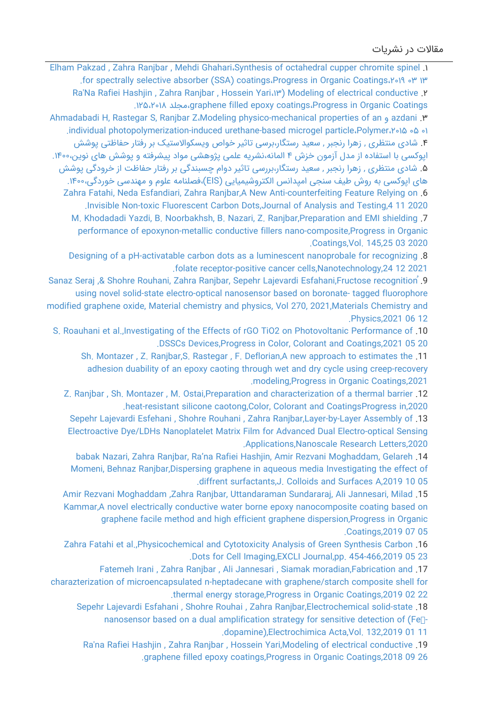مقالات در نشریات

[Elham Pakzad , Zahra Ranjbar , Mehdi Ghahari،Synthesis of octahedral cupper chromite spinel](https://faculty.icrc.ac.ir/zahra-ranjbar/fa/articlesInPublications/377/synthesis-of-octahedral-cupper-chromite-spinel-for-spectrally-selective-absorber-ssa-coatings) .۱ [.for spectrally selective absorber \(SSA\) coatings،Progress in Organic Coatings،۲۰۱۹ ۰۳ ۱۳](https://faculty.icrc.ac.ir/zahra-ranjbar/fa/articlesInPublications/377/synthesis-of-octahedral-cupper-chromite-spinel-for-spectrally-selective-absorber-ssa-coatings) [Ra'Na Rafiei Hashjin , Zahra Ranjbar , Hossein Yari،۱۳\) Modeling of electrical conductive](https://faculty.icrc.ac.ir/zahra-ranjbar/fa/articlesInPublications/931/13-modeling-of-electrical-conductive-graphene-filled-epoxy-coatings) .۲ [.۱۲۵،۲۰۱۸ مجلد،graphene filled epoxy coatings،Progress in Organic Coatings](https://faculty.icrc.ac.ir/zahra-ranjbar/fa/articlesInPublications/931/13-modeling-of-electrical-conductive-graphene-filled-epoxy-coatings) [Ahmadabadi H, Rastegar S, Ranjbar Z،Modeling physico-mechanical properties of an و azdani](https://faculty.icrc.ac.ir/zahra-ranjbar/fa/articlesInPublications/395/modeling-physico-mechanical-properties-of-an-individual-photopolymerization-induced-urethane-based-microgel-particle) .۳ [.individual photopolymerization-induced urethane-based microgel particle،Polymer،۲۰۱۵ ۰۵ ۰۱](https://faculty.icrc.ac.ir/zahra-ranjbar/fa/articlesInPublications/395/modeling-physico-mechanical-properties-of-an-individual-photopolymerization-induced-urethane-based-microgel-particle) .۴ [شادی منتظری , زهرا رنجبر , سعید رستگار،برسی تاثیر خواص ویسکوالاستیک بر رفتار حفاظتی پوشش](https://faculty.icrc.ac.ir/zahra-ranjbar/fa/articlesInPublications/924/%D8%A8%D8%B1%D8%B3%DB%8C-%D8%AA%D8%A7%D8%AB%DB%8C%D8%B1-%D8%AE%D9%88%D8%A7%D8%B5-%D9%88%DB%8C%D8%B3%DA%A9%D9%88%D8%A7%D9%84%D8%A7%D8%B3%D8%AA%DB%8C%DA%A9-%D8%A8%D8%B1-%D8%B1%D9%81%D8%AA%D8%A7%D8%B1-%D8%AD%D9%81%D8%A7%D8%B8%D8%AA%DB%8C-%D9%BE%D9%88%D8%B4%D8%B4-%D8%A7%D9%BE%D9%88%DA%A9%D8%B3%DB%8C-%D8%A8%D8%A7-%D8%A7%D8%B3%D8%AA%D9%81%D8%A7%D8%AF%D9%87-%D8%A7%D8%B2-%D9%85%D8%AF%D9%84-%D8%A2%D8%B2%D9%85%D9%88%D9%86-%D8%AE%D8%B2%D8%B4-4-%D8%A7%D9%84%D9%85%D8%A7%D9%86%D9%87) [اپوکسی با استفاده از مدل آزمون خزش ۴ المانه،نشریه علمی پژوهشی مواد پیشرفته و پوشش های نوین.۱۴۰۰،](https://faculty.icrc.ac.ir/zahra-ranjbar/fa/articlesInPublications/924/%D8%A8%D8%B1%D8%B3%DB%8C-%D8%AA%D8%A7%D8%AB%DB%8C%D8%B1-%D8%AE%D9%88%D8%A7%D8%B5-%D9%88%DB%8C%D8%B3%DA%A9%D9%88%D8%A7%D9%84%D8%A7%D8%B3%D8%AA%DB%8C%DA%A9-%D8%A8%D8%B1-%D8%B1%D9%81%D8%AA%D8%A7%D8%B1-%D8%AD%D9%81%D8%A7%D8%B8%D8%AA%DB%8C-%D9%BE%D9%88%D8%B4%D8%B4-%D8%A7%D9%BE%D9%88%DA%A9%D8%B3%DB%8C-%D8%A8%D8%A7-%D8%A7%D8%B3%D8%AA%D9%81%D8%A7%D8%AF%D9%87-%D8%A7%D8%B2-%D9%85%D8%AF%D9%84-%D8%A2%D8%B2%D9%85%D9%88%D9%86-%D8%AE%D8%B2%D8%B4-4-%D8%A7%D9%84%D9%85%D8%A7%D9%86%D9%87) .۵ [شادی منتظری , زهرا رنجبر , سعید رستگار،بررسی تاثیر دوام چسبندگی بر رفتار حفاظت از خرودگی پوشش](https://faculty.icrc.ac.ir/zahra-ranjbar/fa/articlesInPublications/923/%D8%A8%D8%B1%D8%B1%D8%B3%DB%8C-%D8%AA%D8%A7%D8%AB%DB%8C%D8%B1-%D8%AF%D9%88%D8%A7%D9%85-%DA%86%D8%B3%D8%A8%D9%86%D8%AF%DA%AF%DB%8C-%D8%A8%D8%B1-%D8%B1%D9%81%D8%AA%D8%A7%D8%B1-%D8%AD%D9%81%D8%A7%D8%B8%D8%AA-%D8%A7%D8%B2-%D8%AE%D8%B1%D9%88%D8%AF%DA%AF%DB%8C-%D9%BE%D9%88%D8%B4%D8%B4-%D9%87%D8%A7%DB%8C-%D8%A7%D9%BE%D9%88%DA%A9%D8%B3%DB%8C-%D8%A8%D9%87-%D8%B1%D9%88%D8%B4-%D8%B7%DB%8C%D9%81-%D8%B3%D9%86%D8%AC%DB%8C-%D8%A7%D9%85%D9%BE%D8%AF%D8%A7%D9%86%D8%B3-%D8%A7%D9%84%DA%A9%D8%AA%D8%B1%D9%88%D8%B4%DB%8C%D9%85%DB%8C%D8%A7%DB%8C%DB%8C-eis-) [های اپوکسی به روش طیف سنجی امپدانس الکتروشیمیایی \(EIS\(،فصلنامه علوم و مهندسی خوردگی.۱۴۰۰،](https://faculty.icrc.ac.ir/zahra-ranjbar/fa/articlesInPublications/923/%D8%A8%D8%B1%D8%B1%D8%B3%DB%8C-%D8%AA%D8%A7%D8%AB%DB%8C%D8%B1-%D8%AF%D9%88%D8%A7%D9%85-%DA%86%D8%B3%D8%A8%D9%86%D8%AF%DA%AF%DB%8C-%D8%A8%D8%B1-%D8%B1%D9%81%D8%AA%D8%A7%D8%B1-%D8%AD%D9%81%D8%A7%D8%B8%D8%AA-%D8%A7%D8%B2-%D8%AE%D8%B1%D9%88%D8%AF%DA%AF%DB%8C-%D9%BE%D9%88%D8%B4%D8%B4-%D9%87%D8%A7%DB%8C-%D8%A7%D9%BE%D9%88%DA%A9%D8%B3%DB%8C-%D8%A8%D9%87-%D8%B1%D9%88%D8%B4-%D8%B7%DB%8C%D9%81-%D8%B3%D9%86%D8%AC%DB%8C-%D8%A7%D9%85%D9%BE%D8%AF%D8%A7%D9%86%D8%B3-%D8%A7%D9%84%DA%A9%D8%AA%D8%B1%D9%88%D8%B4%DB%8C%D9%85%DB%8C%D8%A7%DB%8C%DB%8C-eis-) [Zahra Fatahi, Neda Esfandiari, Zahra Ranjbar,A New Anti-counterfeiting Feature Relying on](https://faculty.icrc.ac.ir/zahra-ranjbar/fa/articlesInPublications/747/a-new-anti-counterfeiting-feature-relying-on-invisible-non-toxic-fluorescent-carbon-dots) .6 [.Invisible Non-toxic Fluorescent Carbon Dots,Journal of Analysis and Testing,4 11 2020](https://faculty.icrc.ac.ir/zahra-ranjbar/fa/articlesInPublications/747/a-new-anti-counterfeiting-feature-relying-on-invisible-non-toxic-fluorescent-carbon-dots) [M. Khodadadi Yazdi, B. Noorbakhsh, B. Nazari, Z. Ranjbar,Preparation and EMI shielding](https://faculty.icrc.ac.ir/zahra-ranjbar/fa/articlesInPublications/727/preparation-and-emi-shielding-performance-of-epoxynon-metallic-conductive-fillers-nano-composite) .7 [performance of epoxynon-metallic conductive fillers nano-composite,Progress in Organic](https://faculty.icrc.ac.ir/zahra-ranjbar/fa/articlesInPublications/727/preparation-and-emi-shielding-performance-of-epoxynon-metallic-conductive-fillers-nano-composite) [.Coatings,Vol. 145,25 03 2020](https://faculty.icrc.ac.ir/zahra-ranjbar/fa/articlesInPublications/727/preparation-and-emi-shielding-performance-of-epoxynon-metallic-conductive-fillers-nano-composite)

[Designing of a pH-activatable carbon dots as a luminescent nanoprobale for recognizing](https://faculty.icrc.ac.ir/zahra-ranjbar/fa/articlesInPublications/934/designing-of-a-ph-activatable-carbon-dots-as-a-luminescent-nanoprobale-for-recognizing-folate-receptor-positive-cancer-cells) .8 [.folate receptor-positive cancer cells,Nanotechnology,24 12 2021](https://faculty.icrc.ac.ir/zahra-ranjbar/fa/articlesInPublications/934/designing-of-a-ph-activatable-carbon-dots-as-a-luminescent-nanoprobale-for-recognizing-folate-receptor-positive-cancer-cells)

[Sanaz Seraj ,& Shohre Rouhani, Zahra Ranjbar, Sepehr Lajevardi Esfahani,Fructose recognition](https://faculty.icrc.ac.ir/zahra-ranjbar/fa/articlesInPublications/811/fructose-recognition-using-novel-solid-state-electro-optical-nanosensor-based-on-boronate-tagged-fluorophore-modified-graphene-oxide-material-chemistry-and-physics-vol-270-2021)ُ .9 [using novel solid-state electro-optical nanosensor based on boronate- tagged fluorophore](https://faculty.icrc.ac.ir/zahra-ranjbar/fa/articlesInPublications/811/fructose-recognition-using-novel-solid-state-electro-optical-nanosensor-based-on-boronate-tagged-fluorophore-modified-graphene-oxide-material-chemistry-and-physics-vol-270-2021) [modified graphene oxide, Material chemistry and physics, Vol 270, 2021,Materials Chemistry and](https://faculty.icrc.ac.ir/zahra-ranjbar/fa/articlesInPublications/811/fructose-recognition-using-novel-solid-state-electro-optical-nanosensor-based-on-boronate-tagged-fluorophore-modified-graphene-oxide-material-chemistry-and-physics-vol-270-2021) [.Physics,2021 06 12](https://faculty.icrc.ac.ir/zahra-ranjbar/fa/articlesInPublications/811/fructose-recognition-using-novel-solid-state-electro-optical-nanosensor-based-on-boronate-tagged-fluorophore-modified-graphene-oxide-material-chemistry-and-physics-vol-270-2021)

[S. Roauhani et al.,Investigating of the Effects of rGO TiO2 on Photovoltanic Performance of](https://faculty.icrc.ac.ir/zahra-ranjbar/fa/articlesInPublications/867/investigating-of-the-effects-of-rgo-tio2-on-photovoltanic-performance-of-dsscs-devices) .10 [.DSSCs Devices,Progress in Color, Colorant and Coatings,2021 05 20](https://faculty.icrc.ac.ir/zahra-ranjbar/fa/articlesInPublications/867/investigating-of-the-effects-of-rgo-tio2-on-photovoltanic-performance-of-dsscs-devices)

[Sh. Montazer , Z. Ranjbar,S. Rastegar , F. Deflorian,A new approach to estimates the](https://faculty.icrc.ac.ir/zahra-ranjbar/fa/articlesInPublications/812/a-new-approach-to-estimates-the-adhesion-duability-of-an-epoxy-caoting-through-wet-and-dry-cycle-using-creep-recovery-modeling) .11 [adhesion duability of an epoxy caoting through wet and dry cycle using creep-recovery](https://faculty.icrc.ac.ir/zahra-ranjbar/fa/articlesInPublications/812/a-new-approach-to-estimates-the-adhesion-duability-of-an-epoxy-caoting-through-wet-and-dry-cycle-using-creep-recovery-modeling) [.modeling,Progress in Organic Coatings,2021](https://faculty.icrc.ac.ir/zahra-ranjbar/fa/articlesInPublications/812/a-new-approach-to-estimates-the-adhesion-duability-of-an-epoxy-caoting-through-wet-and-dry-cycle-using-creep-recovery-modeling)

[Z. Ranjbar , Sh. Montazer , M. Ostai,Preparation and characterization of a thermal barrier](https://faculty.icrc.ac.ir/zahra-ranjbar/fa/articlesInPublications/755/preparation-and-characterization-of-a-thermal-barrier-heat-resistant-silicone-caotong) .12 [.heat-resistant silicone caotong,Color, Colorant and CoatingsProgress in,2020](https://faculty.icrc.ac.ir/zahra-ranjbar/fa/articlesInPublications/755/preparation-and-characterization-of-a-thermal-barrier-heat-resistant-silicone-caotong)

[Sepehr Lajevardi Esfehani , Shohre Rouhani , Zahra Ranjbar,Layer-by-Layer Assembly of](https://faculty.icrc.ac.ir/zahra-ranjbar/fa/articlesInPublications/746/layer-by-layer-assembly-of-electroactive-dye-ldhs-nanoplatelet-matrix-film-for-advanced-dual-electro-optical-sensing-applications) .13 [Electroactive Dye/LDHs Nanoplatelet Matrix Film for Advanced Dual Electro-optical Sensing](https://faculty.icrc.ac.ir/zahra-ranjbar/fa/articlesInPublications/746/layer-by-layer-assembly-of-electroactive-dye-ldhs-nanoplatelet-matrix-film-for-advanced-dual-electro-optical-sensing-applications) [.Applications,Nanoscale Research Letters,2020](https://faculty.icrc.ac.ir/zahra-ranjbar/fa/articlesInPublications/746/layer-by-layer-assembly-of-electroactive-dye-ldhs-nanoplatelet-matrix-film-for-advanced-dual-electro-optical-sensing-applications)

[babak Nazari, Zahra Ranjbar, Ra'na Rafiei Hashjin, Amir Rezvani Moghaddam, Gelareh](https://faculty.icrc.ac.ir/zahra-ranjbar/fa/articlesInPublications/521/dispersing-graphene-in-aqueous-media-investigating-the-effect-of-diffrent-surfactants) .14 [Momeni, Behnaz Ranjbar,Dispersing graphene in aqueous media Investigating the effect of](https://faculty.icrc.ac.ir/zahra-ranjbar/fa/articlesInPublications/521/dispersing-graphene-in-aqueous-media-investigating-the-effect-of-diffrent-surfactants) [.diffrent surfactants,J. Colloids and Surfaces A,2019 10 05](https://faculty.icrc.ac.ir/zahra-ranjbar/fa/articlesInPublications/521/dispersing-graphene-in-aqueous-media-investigating-the-effect-of-diffrent-surfactants)

[Amir Rezvani Moghaddam ,Zahra Ranjbar, Uttandaraman Sundararaj, Ali Jannesari, Milad](https://faculty.icrc.ac.ir/zahra-ranjbar/fa/articlesInPublications/522/a-novel-electrically-conductive-water-borne-epoxy-nanocomposite-coating-based-on-graphene-facile-method-and-high-efficient-graphene-dispersion) .15 [Kammar,A novel electrically conductive water borne epoxy nanocomposite coating based on](https://faculty.icrc.ac.ir/zahra-ranjbar/fa/articlesInPublications/522/a-novel-electrically-conductive-water-borne-epoxy-nanocomposite-coating-based-on-graphene-facile-method-and-high-efficient-graphene-dispersion) [graphene facile method and high efficient graphene dispersion,Progress in Organic](https://faculty.icrc.ac.ir/zahra-ranjbar/fa/articlesInPublications/522/a-novel-electrically-conductive-water-borne-epoxy-nanocomposite-coating-based-on-graphene-facile-method-and-high-efficient-graphene-dispersion) [.Coatings,2019 07 05](https://faculty.icrc.ac.ir/zahra-ranjbar/fa/articlesInPublications/522/a-novel-electrically-conductive-water-borne-epoxy-nanocomposite-coating-based-on-graphene-facile-method-and-high-efficient-graphene-dispersion)

[Zahra Fatahi et al.,Physicochemical and Cytotoxicity Analysis of Green Synthesis Carbon](https://faculty.icrc.ac.ir/zahra-ranjbar/fa/articlesInPublications/376/physicochemical-and-cytotoxicity-analysis-of-green-synthesis-carbon-dots-for-cell-imaging) .16 [.Dots for Cell Imaging,EXCLI Journal,pp. 454-466,2019 05 23](https://faculty.icrc.ac.ir/zahra-ranjbar/fa/articlesInPublications/376/physicochemical-and-cytotoxicity-analysis-of-green-synthesis-carbon-dots-for-cell-imaging)

[Fatemeh Irani , Zahra Ranjbar , Ali Jannesari , Siamak moradian,Fabrication and](https://faculty.icrc.ac.ir/zahra-ranjbar/fa/articlesInPublications/379/fabrication-and-charazterization-of-microencapsulated-n-heptadecane-with-graphene-starch-composite-shell-for-thermal-energy-storage) .17

[charazterization of microencapsulated n-heptadecane with graphene/starch composite shell for](https://faculty.icrc.ac.ir/zahra-ranjbar/fa/articlesInPublications/379/fabrication-and-charazterization-of-microencapsulated-n-heptadecane-with-graphene-starch-composite-shell-for-thermal-energy-storage) [.thermal energy storage,Progress in Organic Coatings,2019 02 22](https://faculty.icrc.ac.ir/zahra-ranjbar/fa/articlesInPublications/379/fabrication-and-charazterization-of-microencapsulated-n-heptadecane-with-graphene-starch-composite-shell-for-thermal-energy-storage)

[Sepehr Lajevardi Esfahani , Shohre Rouhai , Zahra Ranjbar,Electrochemical solid-state](https://faculty.icrc.ac.ir/zahra-ranjbar/fa/articlesInPublications/378/electrochemical-solid-state-nanosensor-based-on-a-dual-amplification-strategy-for-sensitive-detection-of-fe-dopamine-) .18 nanosensor based on a dual amplification strategy for sensitive detection of (FeT-

[.dopamine\),Electrochimica Acta,Vol. 132,2019 01 11](https://faculty.icrc.ac.ir/zahra-ranjbar/fa/articlesInPublications/378/electrochemical-solid-state-nanosensor-based-on-a-dual-amplification-strategy-for-sensitive-detection-of-fe-dopamine-)

[Ra'na Rafiei Hashjin , Zahra Ranjbar , Hossein Yari,Modeling of electrical conductive](https://faculty.icrc.ac.ir/zahra-ranjbar/fa/articlesInPublications/380/modeling-of-electrical-conductive-graphene-filled-epoxy-coatings) .19 [.graphene filled epoxy coatings,Progress in Organic Coatings,2018 09 26](https://faculty.icrc.ac.ir/zahra-ranjbar/fa/articlesInPublications/380/modeling-of-electrical-conductive-graphene-filled-epoxy-coatings)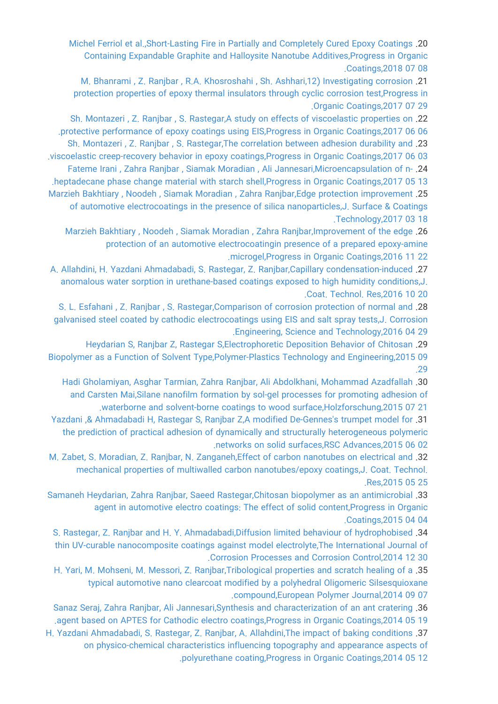[Michel Ferriol et al.,Short-Lasting Fire in Partially and Completely Cured Epoxy Coatings](https://faculty.icrc.ac.ir/zahra-ranjbar/fa/articlesInPublications/381/short-lasting-fire-in-partially-and-completely-cured-epoxy-coatings-containing-expandable-graphite-and-halloysite-nanotube-additives) .20 [Containing Expandable Graphite and Halloysite Nanotube Additives,Progress in Organic](https://faculty.icrc.ac.ir/zahra-ranjbar/fa/articlesInPublications/381/short-lasting-fire-in-partially-and-completely-cured-epoxy-coatings-containing-expandable-graphite-and-halloysite-nanotube-additives) [.Coatings,2018 07 08](https://faculty.icrc.ac.ir/zahra-ranjbar/fa/articlesInPublications/381/short-lasting-fire-in-partially-and-completely-cured-epoxy-coatings-containing-expandable-graphite-and-halloysite-nanotube-additives)

[M. Bhanrami , Z. Ranjbar , R.A. Khosroshahi , Sh. Ashhari,12\) Investigating corrosion](https://faculty.icrc.ac.ir/zahra-ranjbar/fa/articlesInPublications/382/12-investigating-corrosion-protection-properties-of-epoxy-thermal-insulators-through-cyclic-corrosion-test) .21 [protection properties of epoxy thermal insulators through cyclic corrosion test,Progress in](https://faculty.icrc.ac.ir/zahra-ranjbar/fa/articlesInPublications/382/12-investigating-corrosion-protection-properties-of-epoxy-thermal-insulators-through-cyclic-corrosion-test) [.Organic Coatings,2017 07 29](https://faculty.icrc.ac.ir/zahra-ranjbar/fa/articlesInPublications/382/12-investigating-corrosion-protection-properties-of-epoxy-thermal-insulators-through-cyclic-corrosion-test)

[Sh. Montazeri , Z. Ranjbar , S. Rastegar,A study on effects of viscoelastic properties on](https://faculty.icrc.ac.ir/zahra-ranjbar/fa/articlesInPublications/385/a-study-on-effects-of-viscoelastic-properties-on-protective-performance-of-epoxy-coatings-using-eis) .22

[.protective performance of epoxy coatings using EIS,Progress in Organic Coatings,2017 06 06](https://faculty.icrc.ac.ir/zahra-ranjbar/fa/articlesInPublications/385/a-study-on-effects-of-viscoelastic-properties-on-protective-performance-of-epoxy-coatings-using-eis)

[Sh. Montazeri , Z. Ranjbar , S. Rastegar,The correlation between adhesion durability and](https://faculty.icrc.ac.ir/zahra-ranjbar/fa/articlesInPublications/384/the-correlation-between-adhesion-durability-and-viscoelastic-creep-recovery-behavior-in-epoxy-coatings) .23 [.viscoelastic creep-recovery behavior in epoxy coatings,Progress in Organic Coatings,2017 06 03](https://faculty.icrc.ac.ir/zahra-ranjbar/fa/articlesInPublications/384/the-correlation-between-adhesion-durability-and-viscoelastic-creep-recovery-behavior-in-epoxy-coatings)

[Fateme Irani , Zahra Ranjbar , Siamak Moradian , Ali Jannesari,Microencapsulation of n-](https://faculty.icrc.ac.ir/zahra-ranjbar/fa/articlesInPublications/386/microencapsulation-of-n-heptadecane-phase-change-material-with-starch-shell) .24

[.heptadecane phase change material with starch shell,Progress in Organic Coatings,2017 05 13](https://faculty.icrc.ac.ir/zahra-ranjbar/fa/articlesInPublications/386/microencapsulation-of-n-heptadecane-phase-change-material-with-starch-shell) [Marzieh Bakhtiary , Noodeh , Siamak Moradian , Zahra Ranjbar,Edge protection improvement](https://faculty.icrc.ac.ir/zahra-ranjbar/fa/articlesInPublications/383/edge-protection-improvement-of-automotive-electrocoatings-in-the-presence-of-silica-nanoparticles) .25 [of automotive electrocoatings in the presence of silica nanoparticles,J. Surface & Coatings](https://faculty.icrc.ac.ir/zahra-ranjbar/fa/articlesInPublications/383/edge-protection-improvement-of-automotive-electrocoatings-in-the-presence-of-silica-nanoparticles) [.Technology,2017 03 18](https://faculty.icrc.ac.ir/zahra-ranjbar/fa/articlesInPublications/383/edge-protection-improvement-of-automotive-electrocoatings-in-the-presence-of-silica-nanoparticles)

[Marzieh Bakhtiary , Noodeh , Siamak Moradian , Zahra Ranjbar,Improvement of the edge](https://faculty.icrc.ac.ir/zahra-ranjbar/fa/articlesInPublications/388/improvement-of-the-edge-protection-of-an-automotive-electrocoatingin-presence-of-a-prepared-epoxy-amine-microgel) .26 [protection of an automotive electrocoatingin presence of a prepared epoxy-amine](https://faculty.icrc.ac.ir/zahra-ranjbar/fa/articlesInPublications/388/improvement-of-the-edge-protection-of-an-automotive-electrocoatingin-presence-of-a-prepared-epoxy-amine-microgel) [.microgel,Progress in Organic Coatings,2016 11 22](https://faculty.icrc.ac.ir/zahra-ranjbar/fa/articlesInPublications/388/improvement-of-the-edge-protection-of-an-automotive-electrocoatingin-presence-of-a-prepared-epoxy-amine-microgel)

[A. Allahdini, H. Yazdani Ahmadabadi, S. Rastegar, Z. Ranjbar,Capillary condensation-induced](https://faculty.icrc.ac.ir/zahra-ranjbar/fa/articlesInPublications/392/capillary-condensation-induced-anomalous-water-sorption-in-urethane-based-coatings-exposed-to-high-humidity-conditions) .27 [anomalous water sorption in urethane-based coatings exposed to high humidity conditions,J.](https://faculty.icrc.ac.ir/zahra-ranjbar/fa/articlesInPublications/392/capillary-condensation-induced-anomalous-water-sorption-in-urethane-based-coatings-exposed-to-high-humidity-conditions) [.Coat. Technol. Res,2016 10 20](https://faculty.icrc.ac.ir/zahra-ranjbar/fa/articlesInPublications/392/capillary-condensation-induced-anomalous-water-sorption-in-urethane-based-coatings-exposed-to-high-humidity-conditions)

[S. L. Esfahani , Z. Ranjbar , S. Rastegar,Comparison of corrosion protection of normal and](https://faculty.icrc.ac.ir/zahra-ranjbar/fa/articlesInPublications/387/comparison-of-corrosion-protection-of-normal-and-galvanised-steel-coated-by-cathodic-electrocoatings-using-eis-and-salt-spray-tests) .28 [galvanised steel coated by cathodic electrocoatings using EIS and salt spray tests,J. Corrosion](https://faculty.icrc.ac.ir/zahra-ranjbar/fa/articlesInPublications/387/comparison-of-corrosion-protection-of-normal-and-galvanised-steel-coated-by-cathodic-electrocoatings-using-eis-and-salt-spray-tests) [.Engineering, Science and Technology,2016 04 29](https://faculty.icrc.ac.ir/zahra-ranjbar/fa/articlesInPublications/387/comparison-of-corrosion-protection-of-normal-and-galvanised-steel-coated-by-cathodic-electrocoatings-using-eis-and-salt-spray-tests)

[Heydarian S, Ranjbar Z, Rastegar S,Electrophoretic Deposition Behavior of Chitosan](https://faculty.icrc.ac.ir/zahra-ranjbar/fa/articlesInPublications/394/electrophoretic-deposition-behavior-of-chitosan-biopolymer-as-a-function-of-solvent-type) .29 [Biopolymer as a Function of Solvent Type,Polymer-Plastics Technology and Engineering,2015 09](https://faculty.icrc.ac.ir/zahra-ranjbar/fa/articlesInPublications/394/electrophoretic-deposition-behavior-of-chitosan-biopolymer-as-a-function-of-solvent-type) [.29](https://faculty.icrc.ac.ir/zahra-ranjbar/fa/articlesInPublications/394/electrophoretic-deposition-behavior-of-chitosan-biopolymer-as-a-function-of-solvent-type)

[Hadi Gholamiyan, Asghar Tarmian, Zahra Ranjbar, Ali Abdolkhani, Mohammad Azadfallah](https://faculty.icrc.ac.ir/zahra-ranjbar/fa/articlesInPublications/389/silane-nanofilm-formation-by-sol-gel-processes-for-promoting-adhesion-of-waterborne-and-solvent-borne-coatings-to-wood-surface) .30 [and Carsten Mai,Silane nanofilm formation by sol-gel processes for promoting adhesion of](https://faculty.icrc.ac.ir/zahra-ranjbar/fa/articlesInPublications/389/silane-nanofilm-formation-by-sol-gel-processes-for-promoting-adhesion-of-waterborne-and-solvent-borne-coatings-to-wood-surface) [.waterborne and solvent-borne coatings to wood surface,Holzforschung,2015 07 21](https://faculty.icrc.ac.ir/zahra-ranjbar/fa/articlesInPublications/389/silane-nanofilm-formation-by-sol-gel-processes-for-promoting-adhesion-of-waterborne-and-solvent-borne-coatings-to-wood-surface)

[Yazdani ,& Ahmadabadi H, Rastegar S, Ranjbar Z,A modified De-Gennes's trumpet model for](https://faculty.icrc.ac.ir/zahra-ranjbar/fa/articlesInPublications/396/a-modified-de-gennes-s-trumpet-model-for-the-prediction-of-practical-adhesion-of-dynamically-and-structurally-heterogeneous-polymeric-networks-on-solid-surfaces) .31 [the prediction of practical adhesion of dynamically and structurally heterogeneous polymeric](https://faculty.icrc.ac.ir/zahra-ranjbar/fa/articlesInPublications/396/a-modified-de-gennes-s-trumpet-model-for-the-prediction-of-practical-adhesion-of-dynamically-and-structurally-heterogeneous-polymeric-networks-on-solid-surfaces) [.networks on solid surfaces,RSC Advances,2015 06 02](https://faculty.icrc.ac.ir/zahra-ranjbar/fa/articlesInPublications/396/a-modified-de-gennes-s-trumpet-model-for-the-prediction-of-practical-adhesion-of-dynamically-and-structurally-heterogeneous-polymeric-networks-on-solid-surfaces)

[M. Zabet, S. Moradian, Z. Ranjbar, N. Zanganeh,Effect of carbon nanotubes on electrical and](https://faculty.icrc.ac.ir/zahra-ranjbar/fa/articlesInPublications/390/effect-of-carbon-nanotubes-on-electrical-and-mechanical-properties-of-multiwalled-carbon-nanotubes-epoxy-coatings) .32 [mechanical properties of multiwalled carbon nanotubes/epoxy coatings,J. Coat. Technol.](https://faculty.icrc.ac.ir/zahra-ranjbar/fa/articlesInPublications/390/effect-of-carbon-nanotubes-on-electrical-and-mechanical-properties-of-multiwalled-carbon-nanotubes-epoxy-coatings) [.Res,2015 05 25](https://faculty.icrc.ac.ir/zahra-ranjbar/fa/articlesInPublications/390/effect-of-carbon-nanotubes-on-electrical-and-mechanical-properties-of-multiwalled-carbon-nanotubes-epoxy-coatings)

[Samaneh Heydarian, Zahra Ranjbar, Saeed Rastegar,Chitosan biopolymer as an antimicrobial](https://faculty.icrc.ac.ir/zahra-ranjbar/fa/articlesInPublications/393/chitosan-biopolymer-as-an-antimicrobial-agent-in-automotive-electro-coatings-the-effect-of-solid-content) .33 [agent in automotive electro coatings: The effect of solid content,Progress in Organic](https://faculty.icrc.ac.ir/zahra-ranjbar/fa/articlesInPublications/393/chitosan-biopolymer-as-an-antimicrobial-agent-in-automotive-electro-coatings-the-effect-of-solid-content) [.Coatings,2015 04 04](https://faculty.icrc.ac.ir/zahra-ranjbar/fa/articlesInPublications/393/chitosan-biopolymer-as-an-antimicrobial-agent-in-automotive-electro-coatings-the-effect-of-solid-content)

[S. Rastegar, Z. Ranjbar and H. Y. Ahmadabadi,Diffusion limited behaviour of hydrophobised](https://faculty.icrc.ac.ir/zahra-ranjbar/fa/articlesInPublications/391/diffusion-limited-behaviour-of-hydrophobised-thin-uv-curable-nanocomposite-coatings-against-model-electrolyte) .34 [thin UV-curable nanocomposite coatings against model electrolyte,The International Journal of](https://faculty.icrc.ac.ir/zahra-ranjbar/fa/articlesInPublications/391/diffusion-limited-behaviour-of-hydrophobised-thin-uv-curable-nanocomposite-coatings-against-model-electrolyte) [.Corrosion Processes and Corrosion Control,2014 12 30](https://faculty.icrc.ac.ir/zahra-ranjbar/fa/articlesInPublications/391/diffusion-limited-behaviour-of-hydrophobised-thin-uv-curable-nanocomposite-coatings-against-model-electrolyte)

[H. Yari, M. Mohseni, M. Messori, Z. Ranjbar,Tribological properties and scratch healing of a](https://faculty.icrc.ac.ir/zahra-ranjbar/fa/articlesInPublications/397/tribological-properties-and-scratch-healing-of-a-typical-automotive-nano-clearcoat-modified-by-a-polyhedral-oligomeric-silsesquioxane-compound) .35 [typical automotive nano clearcoat modified by a polyhedral Oligomeric Silsesquioxane](https://faculty.icrc.ac.ir/zahra-ranjbar/fa/articlesInPublications/397/tribological-properties-and-scratch-healing-of-a-typical-automotive-nano-clearcoat-modified-by-a-polyhedral-oligomeric-silsesquioxane-compound) [.compound,European Polymer Journal,2014 09 07](https://faculty.icrc.ac.ir/zahra-ranjbar/fa/articlesInPublications/397/tribological-properties-and-scratch-healing-of-a-typical-automotive-nano-clearcoat-modified-by-a-polyhedral-oligomeric-silsesquioxane-compound)

[Sanaz Seraj, Zahra Ranjbar, Ali Jannesari,Synthesis and characterization of an ant cratering](https://faculty.icrc.ac.ir/zahra-ranjbar/fa/articlesInPublications/399/synthesis-and-characterization-of-an-ant-cratering-agent-based-on-aptes-for-cathodic-electro-coatings) .36

[.agent based on APTES for Cathodic electro coatings,Progress in Organic Coatings,2014 05 19](https://faculty.icrc.ac.ir/zahra-ranjbar/fa/articlesInPublications/399/synthesis-and-characterization-of-an-ant-cratering-agent-based-on-aptes-for-cathodic-electro-coatings)

[H. Yazdani Ahmadabadi, S. Rastegar, Z. Ranjbar, A. Allahdini,The impact of baking conditions](https://faculty.icrc.ac.ir/zahra-ranjbar/fa/articlesInPublications/398/the-impact-of-baking-conditions-on-physico-chemical-characteristics-influencing-topography-and-appearance-aspects-of-polyurethane-coating) .37 [on physico-chemical characteristics influencing topography and appearance aspects of](https://faculty.icrc.ac.ir/zahra-ranjbar/fa/articlesInPublications/398/the-impact-of-baking-conditions-on-physico-chemical-characteristics-influencing-topography-and-appearance-aspects-of-polyurethane-coating)

[.polyurethane coating,Progress in Organic Coatings,2014 05 12](https://faculty.icrc.ac.ir/zahra-ranjbar/fa/articlesInPublications/398/the-impact-of-baking-conditions-on-physico-chemical-characteristics-influencing-topography-and-appearance-aspects-of-polyurethane-coating)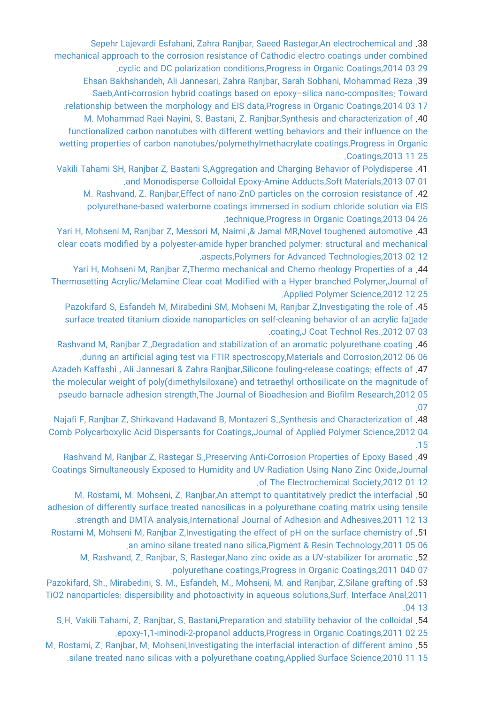[Sepehr Lajevardi Esfahani, Zahra Ranjbar, Saeed Rastegar,An electrochemical and](https://faculty.icrc.ac.ir/zahra-ranjbar/fa/articlesInPublications/400/an-electrochemical-and-mechanical-approach-to-the-corrosion-resistance-of-cathodic-electro-coatings-under-combined-cyclic-and-dc-polarization-conditions) .38 [mechanical approach to the corrosion resistance of Cathodic electro coatings under combined](https://faculty.icrc.ac.ir/zahra-ranjbar/fa/articlesInPublications/400/an-electrochemical-and-mechanical-approach-to-the-corrosion-resistance-of-cathodic-electro-coatings-under-combined-cyclic-and-dc-polarization-conditions) [.cyclic and DC polarization conditions,Progress in Organic Coatings,2014 03 29](https://faculty.icrc.ac.ir/zahra-ranjbar/fa/articlesInPublications/400/an-electrochemical-and-mechanical-approach-to-the-corrosion-resistance-of-cathodic-electro-coatings-under-combined-cyclic-and-dc-polarization-conditions) [Ehsan Bakhshandeh, Ali Jannesari, Zahra Ranjbar, Sarah Sobhani, Mohammad Reza](https://faculty.icrc.ac.ir/zahra-ranjbar/fa/articlesInPublications/402/anti-corrosion-hybrid-coatings-based-on-epoxy-silica-nano-composites-toward-relationship-between-the-morphology-and-eis-data) .39 [Saeb,Anti-corrosion hybrid coatings based on epoxy–silica nano-composites: Toward](https://faculty.icrc.ac.ir/zahra-ranjbar/fa/articlesInPublications/402/anti-corrosion-hybrid-coatings-based-on-epoxy-silica-nano-composites-toward-relationship-between-the-morphology-and-eis-data) [.relationship between the morphology and EIS data,Progress in Organic Coatings,2014 03 17](https://faculty.icrc.ac.ir/zahra-ranjbar/fa/articlesInPublications/402/anti-corrosion-hybrid-coatings-based-on-epoxy-silica-nano-composites-toward-relationship-between-the-morphology-and-eis-data) [M. Mohammad Raei Nayini, S. Bastani, Z. Ranjbar,Synthesis and characterization of](https://faculty.icrc.ac.ir/zahra-ranjbar/fa/articlesInPublications/401/synthesis-and-characterization-of-functionalized-carbon-nanotubes-with-different-wetting-behaviors-and-their-influence-on-the-wetting-properties-of-carbon-nanotubes-polymethylmethacrylate-coatings) .40 [functionalized carbon nanotubes with different wetting behaviors and their influence on the](https://faculty.icrc.ac.ir/zahra-ranjbar/fa/articlesInPublications/401/synthesis-and-characterization-of-functionalized-carbon-nanotubes-with-different-wetting-behaviors-and-their-influence-on-the-wetting-properties-of-carbon-nanotubes-polymethylmethacrylate-coatings) [wetting properties of carbon nanotubes/polymethylmethacrylate coatings,Progress in Organic](https://faculty.icrc.ac.ir/zahra-ranjbar/fa/articlesInPublications/401/synthesis-and-characterization-of-functionalized-carbon-nanotubes-with-different-wetting-behaviors-and-their-influence-on-the-wetting-properties-of-carbon-nanotubes-polymethylmethacrylate-coatings) [.Coatings,2013 11 25](https://faculty.icrc.ac.ir/zahra-ranjbar/fa/articlesInPublications/401/synthesis-and-characterization-of-functionalized-carbon-nanotubes-with-different-wetting-behaviors-and-their-influence-on-the-wetting-properties-of-carbon-nanotubes-polymethylmethacrylate-coatings)

[Vakili Tahami SH, Ranjbar Z, Bastani S,Aggregation and Charging Behavior of Polydisperse](https://faculty.icrc.ac.ir/zahra-ranjbar/fa/articlesInPublications/412/aggregation-and-charging-behavior-of-polydisperse-and-monodisperse-colloidal-epoxy-amine-adducts) .41 [.and Monodisperse Colloidal Epoxy-Amine Adducts,Soft Materials,2013 07 01](https://faculty.icrc.ac.ir/zahra-ranjbar/fa/articlesInPublications/412/aggregation-and-charging-behavior-of-polydisperse-and-monodisperse-colloidal-epoxy-amine-adducts)

[M. Rashvand, Z. Ranjbar,Effect of nano-ZnO particles on the corrosion resistance of](https://faculty.icrc.ac.ir/zahra-ranjbar/fa/articlesInPublications/405/effect-of-nano-zno-particles-on-the-corrosion-resistance-of-polyurethane-based-waterborne-coatings-immersed-in-sodium-chloride-solution-via-eis-technique) .42 [polyurethane-based waterborne coatings immersed in sodium chloride solution via EIS](https://faculty.icrc.ac.ir/zahra-ranjbar/fa/articlesInPublications/405/effect-of-nano-zno-particles-on-the-corrosion-resistance-of-polyurethane-based-waterborne-coatings-immersed-in-sodium-chloride-solution-via-eis-technique) [.technique,Progress in Organic Coatings,2013 04 26](https://faculty.icrc.ac.ir/zahra-ranjbar/fa/articlesInPublications/405/effect-of-nano-zno-particles-on-the-corrosion-resistance-of-polyurethane-based-waterborne-coatings-immersed-in-sodium-chloride-solution-via-eis-technique)

[Yari H, Mohseni M, Ranjbar Z, Messori M, Naimi ,& Jamal MR,Novel toughened automotive](https://faculty.icrc.ac.ir/zahra-ranjbar/fa/articlesInPublications/403/novel-toughened-automotive-clear-coats-modified-by-a-polyester-amide-hyper-branched-polymer-structural-and-mechanical-aspects) .43 [clear coats modified by a polyester-amide hyper branched polymer: structural and mechanical](https://faculty.icrc.ac.ir/zahra-ranjbar/fa/articlesInPublications/403/novel-toughened-automotive-clear-coats-modified-by-a-polyester-amide-hyper-branched-polymer-structural-and-mechanical-aspects) [.aspects,Polymers for Advanced Technologies,2013 02 12](https://faculty.icrc.ac.ir/zahra-ranjbar/fa/articlesInPublications/403/novel-toughened-automotive-clear-coats-modified-by-a-polyester-amide-hyper-branched-polymer-structural-and-mechanical-aspects)

[Yari H, Mohseni M, Ranjbar Z,Thermo mechanical and Chemo rheology Properties of a](https://faculty.icrc.ac.ir/zahra-ranjbar/fa/articlesInPublications/404/thermo-mechanical-and-chemo-rheology-properties-of-a-thermosetting-acrylic-melamine-clear-coat-modified-with-a-hyper-branched-polymer) .44 [Thermosetting Acrylic/Melamine Clear coat Modified with a Hyper branched Polymer,Journal of](https://faculty.icrc.ac.ir/zahra-ranjbar/fa/articlesInPublications/404/thermo-mechanical-and-chemo-rheology-properties-of-a-thermosetting-acrylic-melamine-clear-coat-modified-with-a-hyper-branched-polymer) [.Applied Polymer Science,2012 12 25](https://faculty.icrc.ac.ir/zahra-ranjbar/fa/articlesInPublications/404/thermo-mechanical-and-chemo-rheology-properties-of-a-thermosetting-acrylic-melamine-clear-coat-modified-with-a-hyper-branched-polymer)

[Pazokifard S, Esfandeh M, Mirabedini SM, Mohseni M, Ranjbar Z,Investigating the role of](https://faculty.icrc.ac.ir/zahra-ranjbar/fa/articlesInPublications/407/investigating-the-role-of-surface-treated-titanium-dioxide-nanoparticles-on-self-cleaning-behavior-of-an-acrylic-fa-ade-coating) .45 surface treated titanium dioxide nanoparticles on self-cleaning behavior of an acrylic fallade [.coating,J Coat Technol Res.,2012 07 03](https://faculty.icrc.ac.ir/zahra-ranjbar/fa/articlesInPublications/407/investigating-the-role-of-surface-treated-titanium-dioxide-nanoparticles-on-self-cleaning-behavior-of-an-acrylic-fa-ade-coating)

[Rashvand M, Ranjbar Z.,Degradation and stabilization of an aromatic polyurethane coating](https://faculty.icrc.ac.ir/zahra-ranjbar/fa/articlesInPublications/410/degradation-and-stabilization-of-an-aromatic-polyurethane-coating-during-an-artificial-aging-test-via-ftir-spectroscopy) .46 [.during an artificial aging test via FTIR spectroscopy,Materials and Corrosion,2012 06 06](https://faculty.icrc.ac.ir/zahra-ranjbar/fa/articlesInPublications/410/degradation-and-stabilization-of-an-aromatic-polyurethane-coating-during-an-artificial-aging-test-via-ftir-spectroscopy)

[Azadeh Kaffashi , Ali Jannesari & Zahra Ranjbar,Silicone fouling-release coatings: effects of](https://faculty.icrc.ac.ir/zahra-ranjbar/fa/articlesInPublications/408/silicone-fouling-release-coatings-effects-of-the-molecular-weight-of-poly-dimethylsiloxane-and-tetraethyl-orthosilicate-on-the-magnitude-of-pseudo-barnacle-adhesion-strength) .47 [the molecular weight of poly\(dimethylsiloxane\) and tetraethyl orthosilicate on the magnitude of](https://faculty.icrc.ac.ir/zahra-ranjbar/fa/articlesInPublications/408/silicone-fouling-release-coatings-effects-of-the-molecular-weight-of-poly-dimethylsiloxane-and-tetraethyl-orthosilicate-on-the-magnitude-of-pseudo-barnacle-adhesion-strength) [pseudo barnacle adhesion strength,The Journal of Bioadhesion and Biofilm Research,2012 05](https://faculty.icrc.ac.ir/zahra-ranjbar/fa/articlesInPublications/408/silicone-fouling-release-coatings-effects-of-the-molecular-weight-of-poly-dimethylsiloxane-and-tetraethyl-orthosilicate-on-the-magnitude-of-pseudo-barnacle-adhesion-strength) [.07](https://faculty.icrc.ac.ir/zahra-ranjbar/fa/articlesInPublications/408/silicone-fouling-release-coatings-effects-of-the-molecular-weight-of-poly-dimethylsiloxane-and-tetraethyl-orthosilicate-on-the-magnitude-of-pseudo-barnacle-adhesion-strength)

[Najafi F, Ranjbar Z, Shirkavand Hadavand B, Montazeri S.,Synthesis and Characterization of](https://faculty.icrc.ac.ir/zahra-ranjbar/fa/articlesInPublications/409/synthesis-and-characterization-of-comb-polycarboxylic-acid-dispersants-for-coatings) .48 [Comb Polycarboxylic Acid Dispersants for Coatings,Journal of Applied Polymer Science,2012 04](https://faculty.icrc.ac.ir/zahra-ranjbar/fa/articlesInPublications/409/synthesis-and-characterization-of-comb-polycarboxylic-acid-dispersants-for-coatings) [.15](https://faculty.icrc.ac.ir/zahra-ranjbar/fa/articlesInPublications/409/synthesis-and-characterization-of-comb-polycarboxylic-acid-dispersants-for-coatings)

[Rashvand M, Ranjbar Z, Rastegar S.,Preserving Anti-Corrosion Properties of Epoxy Based](https://faculty.icrc.ac.ir/zahra-ranjbar/fa/articlesInPublications/411/preserving-anti-corrosion-properties-of-epoxy-based-coatings-simultaneously-exposed-to-humidity-and-uv-radiation-using-nano-zinc-oxide) .49 [Coatings Simultaneously Exposed to Humidity and UV-Radiation Using Nano Zinc Oxide,Journal](https://faculty.icrc.ac.ir/zahra-ranjbar/fa/articlesInPublications/411/preserving-anti-corrosion-properties-of-epoxy-based-coatings-simultaneously-exposed-to-humidity-and-uv-radiation-using-nano-zinc-oxide) [.of The Electrochemical Society,2012 01 12](https://faculty.icrc.ac.ir/zahra-ranjbar/fa/articlesInPublications/411/preserving-anti-corrosion-properties-of-epoxy-based-coatings-simultaneously-exposed-to-humidity-and-uv-radiation-using-nano-zinc-oxide)

[M. Rostami, M. Mohseni, Z. Ranjbar,An attempt to quantitatively predict the interfacial](https://faculty.icrc.ac.ir/zahra-ranjbar/fa/articlesInPublications/406/an-attempt-to-quantitatively-predict-the-interfacial-adhesion-of-differently-surface-treated-nanosilicas-in-a-polyurethane-coating-matrix-using-tensile-strength-and-dmta-analysis) .50 [adhesion of differently surface treated nanosilicas in a polyurethane coating matrix using tensile](https://faculty.icrc.ac.ir/zahra-ranjbar/fa/articlesInPublications/406/an-attempt-to-quantitatively-predict-the-interfacial-adhesion-of-differently-surface-treated-nanosilicas-in-a-polyurethane-coating-matrix-using-tensile-strength-and-dmta-analysis)

[.strength and DMTA analysis,International Journal of Adhesion and Adhesives,2011 12 13](https://faculty.icrc.ac.ir/zahra-ranjbar/fa/articlesInPublications/406/an-attempt-to-quantitatively-predict-the-interfacial-adhesion-of-differently-surface-treated-nanosilicas-in-a-polyurethane-coating-matrix-using-tensile-strength-and-dmta-analysis)

[Rostami M, Mohseni M, Ranjbar Z,Investigating the effect of pH on the surface chemistry of](https://faculty.icrc.ac.ir/zahra-ranjbar/fa/articlesInPublications/414/investigating-the-effect-of-ph-on-the-surface-chemistry-of-an-amino-silane-treated-nano-silica) .51 [.an amino silane treated nano silica,Pigment & Resin Technology,2011 05 06](https://faculty.icrc.ac.ir/zahra-ranjbar/fa/articlesInPublications/414/investigating-the-effect-of-ph-on-the-surface-chemistry-of-an-amino-silane-treated-nano-silica)

[M. Rashvand, Z. Ranjbar, S. Rastegar,Nano zinc oxide as a UV-stabilizer for aromatic](https://faculty.icrc.ac.ir/zahra-ranjbar/fa/articlesInPublications/415/nano-zinc-oxide-as-a-uv-stabilizer-for-aromatic-polyurethane-coatings) .52

[.polyurethane coatings,Progress in Organic Coatings,2011 040 07](https://faculty.icrc.ac.ir/zahra-ranjbar/fa/articlesInPublications/415/nano-zinc-oxide-as-a-uv-stabilizer-for-aromatic-polyurethane-coatings)

[Pazokifard, Sh., Mirabedini, S. M., Esfandeh, M., Mohseni, M. and Ranjbar, Z,Silane grafting of](https://faculty.icrc.ac.ir/zahra-ranjbar/fa/articlesInPublications/413/silane-grafting-of-tio2-nanoparticles-dispersibility-and-photoactivity-in-aqueous-solutions) .53 [TiO2 nanoparticles: dispersibility and photoactivity in aqueous solutions,Surf. Interface Anal,2011](https://faculty.icrc.ac.ir/zahra-ranjbar/fa/articlesInPublications/413/silane-grafting-of-tio2-nanoparticles-dispersibility-and-photoactivity-in-aqueous-solutions) [.04 13](https://faculty.icrc.ac.ir/zahra-ranjbar/fa/articlesInPublications/413/silane-grafting-of-tio2-nanoparticles-dispersibility-and-photoactivity-in-aqueous-solutions)

[S.H. Vakili Tahami, Z. Ranjbar, S. Bastani,Preparation and stability behavior of the colloidal](https://faculty.icrc.ac.ir/zahra-ranjbar/fa/articlesInPublications/416/preparation-and-stability-behavior-of-the-colloidal-epoxy-1-1-iminodi-2-propanol-adducts) .54 [.epoxy-1,1-iminodi-2-propanol adducts,Progress in Organic Coatings,2011 02 25](https://faculty.icrc.ac.ir/zahra-ranjbar/fa/articlesInPublications/416/preparation-and-stability-behavior-of-the-colloidal-epoxy-1-1-iminodi-2-propanol-adducts)

[M. Rostami, Z. Ranjbar, M. Mohseni,Investigating the interfacial interaction of different amino](https://faculty.icrc.ac.ir/zahra-ranjbar/fa/articlesInPublications/418/investigating-the-interfacial-interaction-of-different-amino-silane-treated-nano-silicas-with-a-polyurethane-coating) .55 [.silane treated nano silicas with a polyurethane coating,Applied Surface Science,2010 11 15](https://faculty.icrc.ac.ir/zahra-ranjbar/fa/articlesInPublications/418/investigating-the-interfacial-interaction-of-different-amino-silane-treated-nano-silicas-with-a-polyurethane-coating)